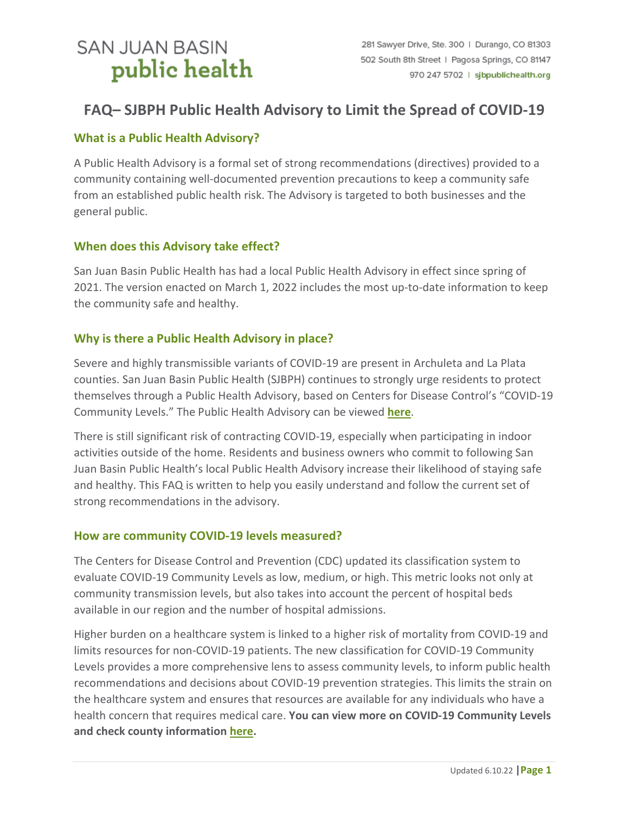# **SAN JUAN BASIN** public health

## **FAQ– SJBPH Public Health Advisory to Limit the Spread of COVID-19**

## **What is a Public Health Advisory?**

A Public Health Advisory is a formal set of strong recommendations (directives) provided to a community containing well-documented prevention precautions to keep a community safe from an established public health risk. The Advisory is targeted to both businesses and the general public.

## **When does this Advisory take effect?**

San Juan Basin Public Health has had a local Public Health Advisory in effect since spring of 2021. The version enacted on March 1, 2022 includes the most up-to-date information to keep the community safe and healthy.

## **Why is there a Public Health Advisory in place?**

Severe and highly transmissible variants of COVID-19 are present in Archuleta and La Plata counties. San Juan Basin Public Health (SJBPH) continues to strongly urge residents to protect themselves through a Public Health Advisory, based on Centers for Disease Control's "COVID-19 Community Levels." The Public Health Advisory can be viewed **[here](https://sjbpublichealth.org/wp-content/uploads/2022/03/SJBPH-Mitigation-Advisory-3.1.2022.pdf)**.

There is still significant risk of contracting COVID-19, especially when participating in indoor activities outside of the home. Residents and business owners who commit to following San Juan Basin Public Health's local Public Health Advisory increase their likelihood of staying safe and healthy. This FAQ is written to help you easily understand and follow the current set of strong recommendations in the advisory.

#### **How are community COVID-19 levels measured?**

The Centers for Disease Control and Prevention (CDC) updated its classification system to evaluate COVID-19 Community Levels as low, medium, or high. This metric looks not only at community transmission levels, but also takes into account the percent of hospital beds available in our region and the number of hospital admissions.

Higher burden on a healthcare system is linked to a higher risk of mortality from COVID-19 and limits resources for non-COVID-19 patients. The new classification for COVID-19 Community Levels provides a more comprehensive lens to assess community levels, to inform public health recommendations and decisions about COVID-19 prevention strategies. This limits the strain on the healthcare system and ensures that resources are available for any individuals who have a health concern that requires medical care. **You can view more on COVID-19 Community Levels and check county informatio[n here.](https://www.cdc.gov/coronavirus/2019-ncov/your-health/covid-by-county.html)**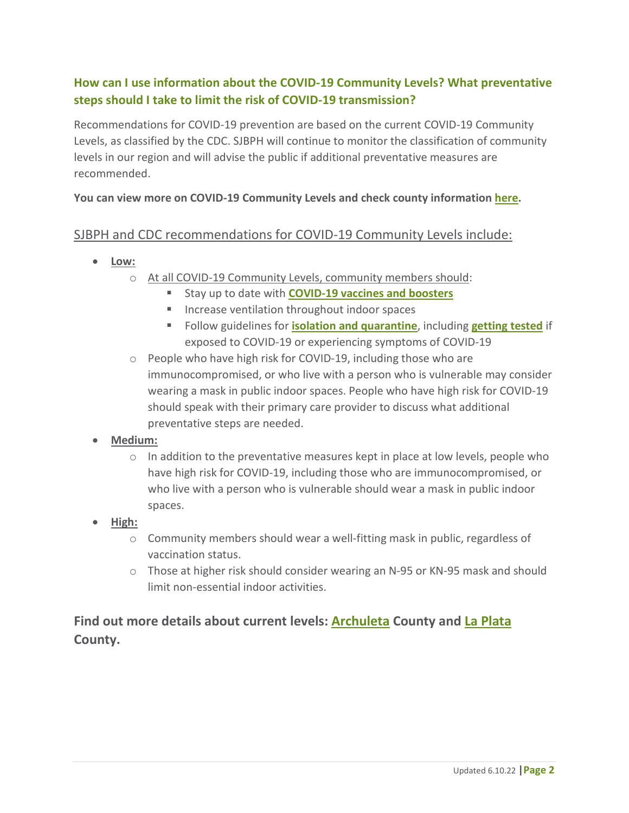## **How can I use information about the COVID-19 Community Levels? What preventative steps should I take to limit the risk of COVID-19 transmission?**

Recommendations for COVID-19 prevention are based on the current COVID-19 Community Levels, as classified by the CDC. SJBPH will continue to monitor the classification of community levels in our region and will advise the public if additional preventative measures are recommended.

#### **You can view more on COVID-19 Community Levels and check county informatio[n here.](https://www.cdc.gov/coronavirus/2019-ncov/your-health/covid-by-county.html)**

## SJBPH and CDC recommendations for COVID-19 Community Levels include:

- **Low:**
	- o At all COVID-19 Community Levels, community members should:
		- **E** Stay up to date with **[COVID-19 vaccines and boosters](https://sjbpublichealth.org/covid-19-vaccine/)**
		- **Increase ventilation throughout indoor spaces**
		- Follow guidelines for **[isolation and quarantine](https://sjbpublichealth.org/isolation-quarantine/)**, including **[getting tested](https://sjbpublichealth.org/testing/)** if exposed to COVID-19 or experiencing symptoms of COVID-19
	- o People who have high risk for COVID-19, including those who are immunocompromised, or who live with a person who is vulnerable may consider wearing a mask in public indoor spaces. People who have high risk for COVID-19 should speak with their primary care provider to discuss what additional preventative steps are needed.
- **Medium:**
	- o In addition to the preventative measures kept in place at low levels, people who have high risk for COVID-19, including those who are immunocompromised, or who live with a person who is vulnerable should wear a mask in public indoor spaces.
- **High:**
	- $\circ$  Community members should wear a well-fitting mask in public, regardless of vaccination status.
	- o Those at higher risk should consider wearing an N-95 or KN-95 mask and should limit non-essential indoor activities.

## **Find out more details about current levels: [Archuleta](https://covid.cdc.gov/covid-data-tracker/#county-view?list_select_state=Colorado&data-type=CommunityLevels&null=CommunityLevels&list_select_county=8007) County and [La Plata](https://covid.cdc.gov/covid-data-tracker/#county-view?list_select_state=Colorado&data-type=CommunityLevels&null=CommunityLevels&list_select_county=8067) County.**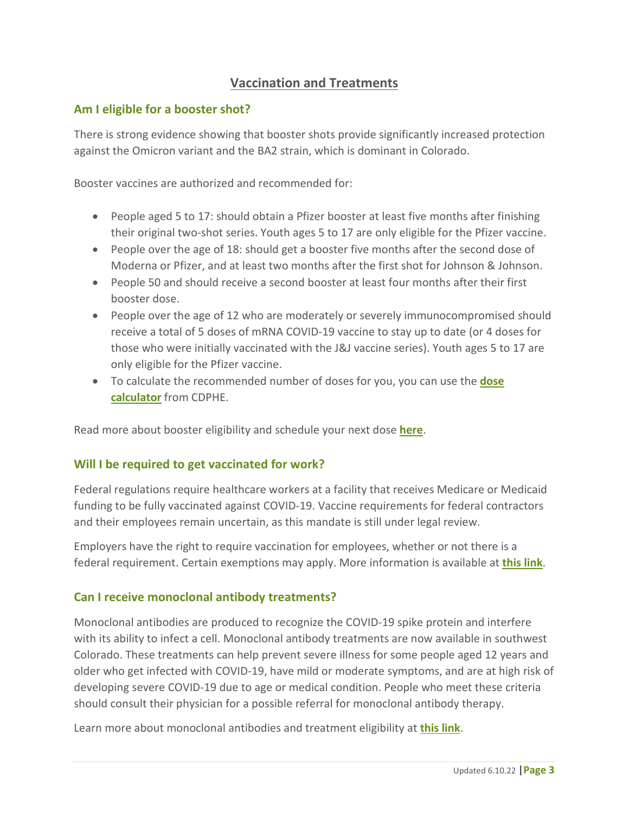## **Vaccination and Treatments**

## **Am I eligible for a booster shot?**

There is strong evidence showing that booster shots provide significantly increased protection against the Omicron variant and the BA2 strain, which is dominant in Colorado.

Booster vaccines are authorized and recommended for:

- People aged 5 to 17: should obtain a Pfizer booster at least five months after finishing their original two-shot series. Youth ages 5 to 17 are only eligible for the Pfizer vaccine.
- People over the age of 18: should get a booster five months after the second dose of Moderna or Pfizer, and at least two months after the first shot for Johnson & Johnson.
- People 50 and should receive a second booster at least four months after their first booster dose.
- People over the age of 12 who are moderately or severely immunocompromised should receive a total of 5 doses of mRNA COVID-19 vaccine to stay up to date (or 4 doses for those who were initially vaccinated with the J&J vaccine series). Youth ages 5 to 17 are only eligible for the Pfizer vaccine.
- To calculate the recommended number of doses for you, you can use the **[dose](https://covid19.colorado.gov/vaccine-calculator)  [calculator](https://covid19.colorado.gov/vaccine-calculator)** from CDPHE.

Read more about booster eligibility and schedule your next dose **[here](https://sjbpublichealth.org/covid-19-vaccine/)**.

#### **Will I be required to get vaccinated for work?**

Federal regulations require healthcare workers at a facility that receives Medicare or Medicaid funding to be fully vaccinated against COVID-19. Vaccine requirements for federal contractors and their employees remain uncertain, as this mandate is still under legal review.

Employers have the right to require vaccination for employees, whether or not there is a federal requirement. Certain exemptions may apply. More information is available at **[this link](https://www.cdc.gov/coronavirus/2019-ncov/vaccines/recommendations/essentialworker/workplace-vaccination-program.html)**.

#### **Can I receive monoclonal antibody treatments?**

Monoclonal antibodies are produced to recognize the COVID-19 spike protein and interfere with its ability to infect a cell. Monoclonal antibody treatments are now available in southwest Colorado. These treatments can help prevent severe illness for some people aged 12 years and older who get infected with COVID-19, have mild or moderate symptoms, and are at high risk of developing severe COVID-19 due to age or medical condition. People who meet these criteria should consult their physician for a possible referral for monoclonal antibody therapy.

Learn more about monoclonal antibodies and treatment eligibility at **[this link](https://covid19.colorado.gov/for-coloradans/covid-19-treatments)**.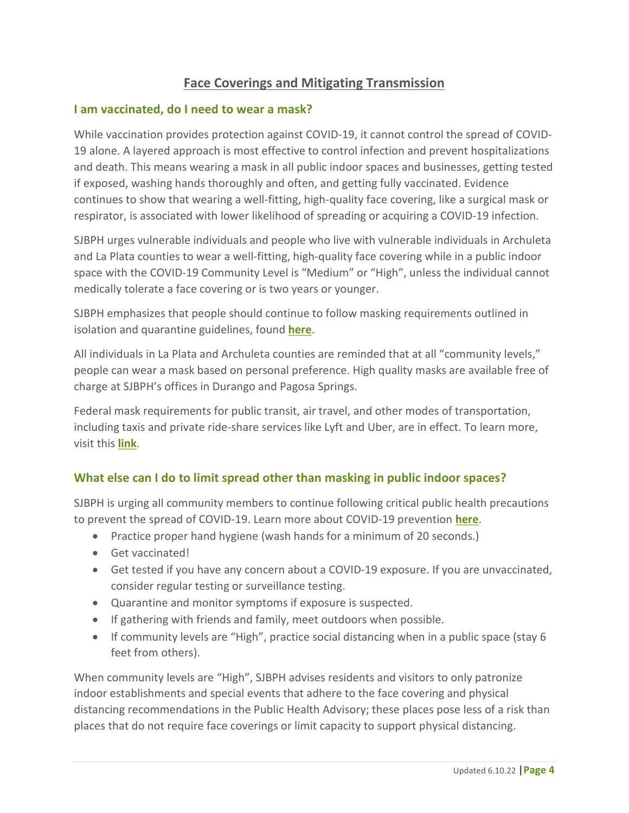## **Face Coverings and Mitigating Transmission**

#### **I am vaccinated, do I need to wear a mask?**

While vaccination provides protection against COVID-19, it cannot control the spread of COVID-19 alone. A layered approach is most effective to control infection and prevent hospitalizations and death. This means wearing a mask in all public indoor spaces and businesses, getting tested if exposed, washing hands thoroughly and often, and getting fully vaccinated. Evidence continues to show that wearing a well-fitting, high-quality face covering, like a surgical mask or respirator, is associated with lower likelihood of spreading or acquiring a COVID-19 infection.

SJBPH urges vulnerable individuals and people who live with vulnerable individuals in Archuleta and La Plata counties to wear a well-fitting, high-quality face covering while in a public indoor space with the COVID-19 Community Level is "Medium" or "High", unless the individual cannot medically tolerate a face covering or is two years or younger.

SJBPH emphasizes that people should continue to follow masking requirements outlined in isolation and quarantine guidelines, found **[here](https://sjbpublichealth.org/isolation-quarantine/)**.

All individuals in La Plata and Archuleta counties are reminded that at all "community levels," people can wear a mask based on personal preference. High quality masks are available free of charge at SJBPH's offices in Durango and Pagosa Springs.

Federal mask requirements for public transit, air travel, and other modes of transportation, including taxis and private ride-share services like Lyft and Uber, are in effect. To learn more, visit this **[link](https://www.cdc.gov/coronavirus/2019-ncov/travelers/face-masks-public-transportation.html)**.

## **What else can I do to limit spread other than masking in public indoor spaces?**

SJBPH is urging all community members to continue following critical public health precautions to prevent the spread of COVID-19. Learn more about COVID-19 prevention **[here](https://sjbpublichealth.org/covid-prevention/)**.

- Practice proper hand hygiene (wash hands for a minimum of 20 seconds.)
- Get vaccinated!
- Get tested if you have any concern about a COVID-19 exposure. If you are unvaccinated, consider regular testing or surveillance testing.
- Quarantine and monitor symptoms if exposure is suspected.
- If gathering with friends and family, meet outdoors when possible.
- If community levels are "High", practice social distancing when in a public space (stay 6 feet from others).

When community levels are "High", SJBPH advises residents and visitors to only patronize indoor establishments and special events that adhere to the face covering and physical distancing recommendations in the Public Health Advisory; these places pose less of a risk than places that do not require face coverings or limit capacity to support physical distancing.